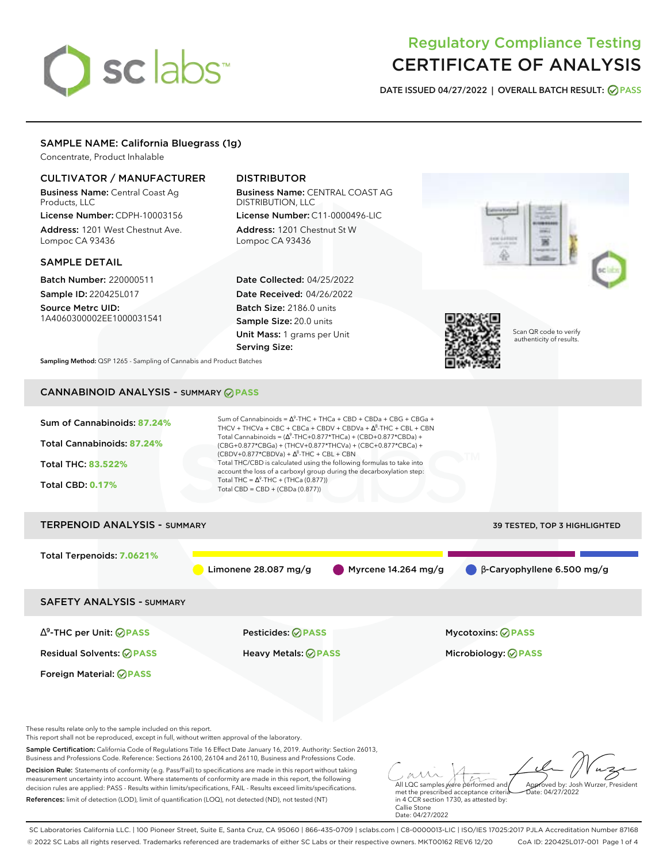# sclabs<sup>\*</sup>

# Regulatory Compliance Testing CERTIFICATE OF ANALYSIS

**DATE ISSUED 04/27/2022 | OVERALL BATCH RESULT: PASS**

#### SAMPLE NAME: California Bluegrass (1g)

Concentrate, Product Inhalable

#### CULTIVATOR / MANUFACTURER

Business Name: Central Coast Ag Products, LLC

License Number: CDPH-10003156 Address: 1201 West Chestnut Ave. Lompoc CA 93436

#### SAMPLE DETAIL

Batch Number: 220000511 Sample ID: 220425L017

Source Metrc UID: 1A4060300002EE1000031541

## DISTRIBUTOR

Business Name: CENTRAL COAST AG DISTRIBUTION, LLC License Number: C11-0000496-LIC

Address: 1201 Chestnut St W Lompoc CA 93436

Date Collected: 04/25/2022 Date Received: 04/26/2022 Batch Size: 2186.0 units Sample Size: 20.0 units Unit Mass: 1 grams per Unit Serving Size:



Scan QR code to verify authenticity of results.

**Sampling Method:** QSP 1265 - Sampling of Cannabis and Product Batches

# CANNABINOID ANALYSIS - SUMMARY **PASS**

| Sum of Cannabinoids: 87.24%<br>Total Cannabinoids: 87.24%<br><b>Total THC: 83.522%</b><br><b>Total CBD: 0.17%</b> | Sum of Cannabinoids = $\Delta^9$ -THC + THCa + CBD + CBDa + CBG + CBGa +<br>THCV + THCVa + CBC + CBCa + CBDV + CBDVa + $\Delta^8$ -THC + CBL + CBN<br>Total Cannabinoids = $(\Delta^9$ -THC+0.877*THCa) + (CBD+0.877*CBDa) +<br>(CBG+0.877*CBGa) + (THCV+0.877*THCVa) + (CBC+0.877*CBCa) +<br>$(CBDV+0.877*CBDVa) + \Delta^8$ -THC + CBL + CBN<br>Total THC/CBD is calculated using the following formulas to take into<br>account the loss of a carboxyl group during the decarboxylation step:<br>Total THC = $\Delta^9$ -THC + (THCa (0.877))<br>Total CBD = CBD + (CBDa $(0.877)$ ) |                                   |
|-------------------------------------------------------------------------------------------------------------------|-----------------------------------------------------------------------------------------------------------------------------------------------------------------------------------------------------------------------------------------------------------------------------------------------------------------------------------------------------------------------------------------------------------------------------------------------------------------------------------------------------------------------------------------------------------------------------------------|-----------------------------------|
| <b>TERPENOID ANALYSIS - SUMMARY</b>                                                                               |                                                                                                                                                                                                                                                                                                                                                                                                                                                                                                                                                                                         | 39 TESTED, TOP 3 HIGHLIGHTED      |
| Total Terpenoids: 7.0621%                                                                                         | Limonene 28.087 mg/g<br>Myrcene 14.264 mg/g                                                                                                                                                                                                                                                                                                                                                                                                                                                                                                                                             | $\beta$ -Caryophyllene 6.500 mg/g |
| <b>SAFETY ANALYSIS - SUMMARY</b>                                                                                  |                                                                                                                                                                                                                                                                                                                                                                                                                                                                                                                                                                                         |                                   |
| $\Delta^9$ -THC per Unit: $\bigcirc$ PASS                                                                         | Pesticides: ⊘PASS                                                                                                                                                                                                                                                                                                                                                                                                                                                                                                                                                                       | <b>Mycotoxins: ⊘PASS</b>          |
| <b>Residual Solvents: ⊘ PASS</b>                                                                                  | <b>Heavy Metals: ⊘ PASS</b>                                                                                                                                                                                                                                                                                                                                                                                                                                                                                                                                                             | Microbiology: <b>⊘PASS</b>        |
| <b>Foreign Material: ⊘PASS</b>                                                                                    |                                                                                                                                                                                                                                                                                                                                                                                                                                                                                                                                                                                         |                                   |
|                                                                                                                   |                                                                                                                                                                                                                                                                                                                                                                                                                                                                                                                                                                                         |                                   |

These results relate only to the sample included on this report.

This report shall not be reproduced, except in full, without written approval of the laboratory.

Sample Certification: California Code of Regulations Title 16 Effect Date January 16, 2019. Authority: Section 26013, Business and Professions Code. Reference: Sections 26100, 26104 and 26110, Business and Professions Code.

Decision Rule: Statements of conformity (e.g. Pass/Fail) to specifications are made in this report without taking measurement uncertainty into account. Where statements of conformity are made in this report, the following decision rules are applied: PASS - Results within limits/specifications, FAIL - Results exceed limits/specifications. References: limit of detection (LOD), limit of quantification (LOQ), not detected (ND), not tested (NT)

All LQC samples were performed and met the prescribed acceptance criteria Approved by: Josh Wurzer, President Date: 04/27/2022

in 4 CCR section 1730, as attested by: Callie Stone Date: 04/27/2022

SC Laboratories California LLC. | 100 Pioneer Street, Suite E, Santa Cruz, CA 95060 | 866-435-0709 | sclabs.com | C8-0000013-LIC | ISO/IES 17025:2017 PJLA Accreditation Number 87168 © 2022 SC Labs all rights reserved. Trademarks referenced are trademarks of either SC Labs or their respective owners. MKT00162 REV6 12/20 CoA ID: 220425L017-001 Page 1 of 4